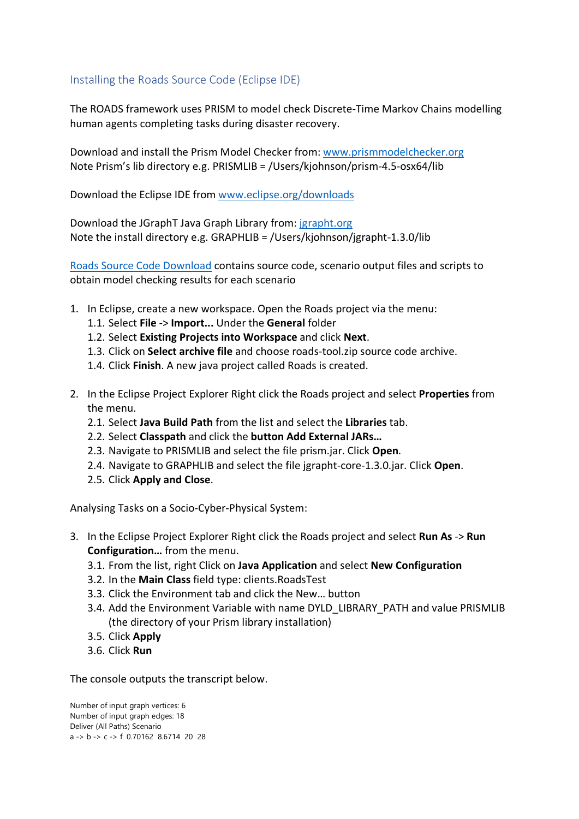## Installing the Roads Source Code (Eclipse IDE)

The ROADS framework uses PRISM to model check Discrete-Time Markov Chains modelling human agents completing tasks during disaster recovery.

Download and install the Prism Model Checker from: [www.prismmodelchecker.org](https://www.prismmodelchecker.org/) Note Prism's lib directory e.g. PRISMLIB = /Users/kjohnson/prism-4.5-osx64/lib

Download the Eclipse IDE from [www.eclipse.org/downloads](http://www.eclipse.org/downloads)

Download the JGraphT Java Graph Library from: [jgrapht.org](https://jgrapht.org/) Note the install directory e.g. GRAPHLIB = /Users/kjohnson/jgrapht-1.3.0/lib

[Roads Source Code Download](https://serl.aut.ac.nz/__data/assets/file/0007/340369/SRC_Roads.zip) contains source code, scenario output files and scripts to obtain model checking results for each scenario

- 1. In Eclipse, create a new workspace. Open the Roads project via the menu:
	- 1.1. Select **File** -> **Import...** Under the **General** folder
	- 1.2. Select **Existing Projects into Workspace** and click **Next**.
	- 1.3. Click on **Select archive file** and choose roads-tool.zip source code archive.
	- 1.4. Click **Finish**. A new java project called Roads is created.
- 2. In the Eclipse Project Explorer Right click the Roads project and select **Properties** from the menu.
	- 2.1. Select **Java Build Path** from the list and select the **Libraries** tab.
	- 2.2. Select **Classpath** and click the **button Add External JARs…**
	- 2.3. Navigate to PRISMLIB and select the file prism.jar. Click **Open**.
	- 2.4. Navigate to GRAPHLIB and select the file jgrapht-core-1.3.0.jar. Click **Open**.
	- 2.5. Click **Apply and Close**.

Analysing Tasks on a Socio-Cyber-Physical System:

- 3. In the Eclipse Project Explorer Right click the Roads project and select **Run As** -> **Run Configuration…** from the menu.
	- 3.1. From the list, right Click on **Java Application** and select **New Configuration**
	- 3.2. In the **Main Class** field type: clients.RoadsTest
	- 3.3. Click the Environment tab and click the New… button
	- 3.4. Add the Environment Variable with name DYLD\_LIBRARY\_PATH and value PRISMLIB (the directory of your Prism library installation)
	- 3.5. Click **Apply**
	- 3.6. Click **Run**

The console outputs the transcript below.

Number of input graph vertices: 6 Number of input graph edges: 18 Deliver (All Paths) Scenario a -> b -> c -> f 0.70162 8.6714 20 28